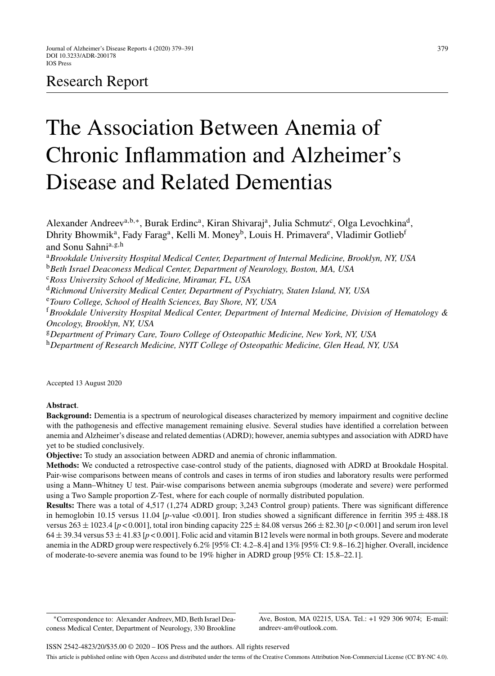# Research Report

# The Association Between Anemia of Chronic Inflammation and Alzheimer's Disease and Related Dementias

Alexander Andreev<sup>a,b,∗</sup>, Burak Erdinc<sup>a</sup>, Kiran Shivaraj<sup>a</sup>, Julia Schmutz<sup>c</sup>, Olga Levochkina<sup>d</sup>, Dhrity Bhowmik<sup>a</sup>, Fady Farag<sup>a</sup>, Kelli M. Money<sup>b</sup>, Louis H. Primavera<sup>e</sup>, Vladimir Gotlieb<sup>1</sup> and Sonu Sahni<sup>a, g,h</sup>

<sup>a</sup>*Brookdale University Hospital Medical Center, Department of Internal Medicine, Brooklyn, NY, USA*

<sup>b</sup>*Beth Israel Deaconess Medical Center, Department of Neurology, Boston, MA, USA*

<sup>c</sup>*Ross University School of Medicine, Miramar, FL, USA*

<sup>d</sup>*Richmond University Medical Center, Department of Psychiatry, Staten Island, NY, USA*

<sup>e</sup>*Touro College, School of Health Sciences, Bay Shore, NY, USA*

<sup>f</sup>*Brookdale University Hospital Medical Center, Department of Internal Medicine, Division of Hematology & Oncology, Brooklyn, NY, USA*

<sup>g</sup>*Department of Primary Care, Touro College of Osteopathic Medicine, New York, NY, USA*

<sup>h</sup>*Department of Research Medicine, NYIT College of Osteopathic Medicine, Glen Head, NY, USA*

Accepted 13 August 2020

#### **Abstract**.

**Background:** Dementia is a spectrum of neurological diseases characterized by memory impairment and cognitive decline with the pathogenesis and effective management remaining elusive. Several studies have identified a correlation between anemia and Alzheimer's disease and related dementias (ADRD); however, anemia subtypes and association with ADRD have yet to be studied conclusively.

**Objective:** To study an association between ADRD and anemia of chronic inflammation.

**Methods:** We conducted a retrospective case-control study of the patients, diagnosed with ADRD at Brookdale Hospital. Pair-wise comparisons between means of controls and cases in terms of iron studies and laboratory results were performed using a Mann–Whitney U test. Pair-wise comparisons between anemia subgroups (moderate and severe) were performed using a Two Sample proportion Z-Test, where for each couple of normally distributed population.

**Results:** There was a total of 4,517 (1,274 ADRD group; 3,243 Control group) patients. There was significant difference in hemoglobin 10.15 versus 11.04 [ $p$ -value <0.001]. Iron studies showed a significant difference in ferritin 395  $\pm$  488.18 versus  $263 \pm 1023.4$  [*p* < 0.001], total iron binding capacity  $225 \pm 84.08$  versus  $266 \pm 82.30$  [*p* < 0.001] and serum iron level  $64 \pm 39.34$  versus  $53 \pm 41.83$  [ $p < 0.001$ ]. Folic acid and vitamin B12 levels were normal in both groups. Severe and moderate anemia in the ADRD group were respectively 6.2% [95% CI: 4.2–8.4] and 13% [95% CI: 9.8–16.2] higher. Overall, incidence of moderate-to-severe anemia was found to be 19% higher in ADRD group [95% CI: 15.8–22.1].

∗Correspondence to: Alexander Andreev, MD, Beth Israel Deaconess Medical Center, Department of Neurology, 330 Brookline

Ave, Boston, MA 02215, USA. Tel.: +1 929 306 9074; E-mail: [andreev-am@outlook.com.](mailto:andreev-am@outlook.com)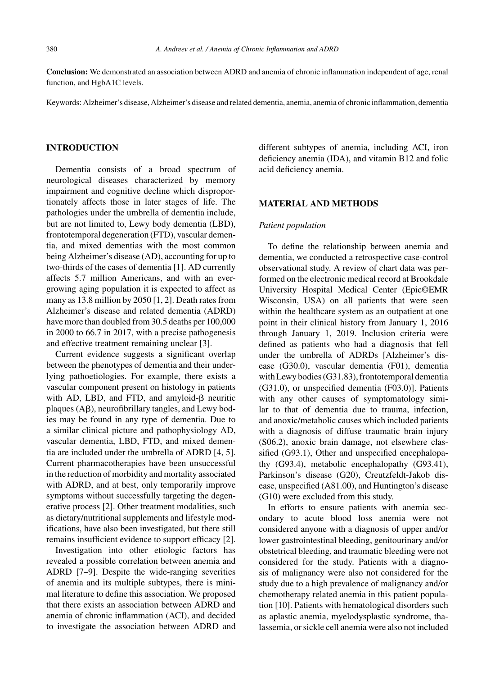**Conclusion:** We demonstrated an association between ADRD and anemia of chronic inflammation independent of age, renal function, and HgbA1C levels.

Keywords: Alzheimer's disease, Alzheimer's disease and related dementia, anemia, anemia of chronic inflammation, dementia

# **INTRODUCTION**

Dementia consists of a broad spectrum of neurological diseases characterized by memory impairment and cognitive decline which disproportionately affects those in later stages of life. The pathologies under the umbrella of dementia include, but are not limited to, Lewy body dementia (LBD), frontotemporal degeneration (FTD), vascular dementia, and mixed dementias with the most common being Alzheimer's disease (AD), accounting for up to two-thirds of the cases of dementia [1]. AD currently affects 5.7 million Americans, and with an evergrowing aging population it is expected to affect as many as 13.8 million by 2050 [1, 2]. Death rates from Alzheimer's disease and related dementia (ADRD) have more than doubled from 30.5 deaths per 100,000 in 2000 to 66.7 in 2017, with a precise pathogenesis and effective treatment remaining unclear [3].

Current evidence suggests a significant overlap between the phenotypes of dementia and their underlying pathoetiologies. For example, there exists a vascular component present on histology in patients with AD, LBD, and FTD, and amyloid- $\beta$  neuritic plaques  $(A\beta)$ , neurofibrillary tangles, and Lewy bodies may be found in any type of dementia. Due to a similar clinical picture and pathophysiology AD, vascular dementia, LBD, FTD, and mixed dementia are included under the umbrella of ADRD [4, 5]. Current pharmacotherapies have been unsuccessful in the reduction of morbidity and mortality associated with ADRD, and at best, only temporarily improve symptoms without successfully targeting the degenerative process [2]. Other treatment modalities, such as dietary/nutritional supplements and lifestyle modifications, have also been investigated, but there still remains insufficient evidence to support efficacy [2].

Investigation into other etiologic factors has revealed a possible correlation between anemia and ADRD [7–9]. Despite the wide-ranging severities of anemia and its multiple subtypes, there is minimal literature to define this association. We proposed that there exists an association between ADRD and anemia of chronic inflammation (ACI), and decided to investigate the association between ADRD and

different subtypes of anemia, including ACI, iron deficiency anemia (IDA), and vitamin B12 and folic acid deficiency anemia.

#### **MATERIAL AND METHODS**

#### *Patient population*

To define the relationship between anemia and dementia, we conducted a retrospective case-control observational study. A review of chart data was performed on the electronic medical record at Brookdale University Hospital Medical Center (Epic©EMR Wisconsin, USA) on all patients that were seen within the healthcare system as an outpatient at one point in their clinical history from January 1, 2016 through January 1, 2019. Inclusion criteria were defined as patients who had a diagnosis that fell under the umbrella of ADRDs [Alzheimer's disease (G30.0), vascular dementia (F01), dementia with Lewy bodies (G31.83), frontotemporal dementia (G31.0), or unspecified dementia (F03.0)]. Patients with any other causes of symptomatology similar to that of dementia due to trauma, infection, and anoxic/metabolic causes which included patients with a diagnosis of diffuse traumatic brain injury (S06.2), anoxic brain damage, not elsewhere classified (G93.1), Other and unspecified encephalopathy (G93.4), metabolic encephalopathy (G93.41), Parkinson's disease (G20), Creutzfeldt-Jakob disease, unspecified (A81.00), and Huntington's disease (G10) were excluded from this study.

In efforts to ensure patients with anemia secondary to acute blood loss anemia were not considered anyone with a diagnosis of upper and/or lower gastrointestinal bleeding, genitourinary and/or obstetrical bleeding, and traumatic bleeding were not considered for the study. Patients with a diagnosis of malignancy were also not considered for the study due to a high prevalence of malignancy and/or chemotherapy related anemia in this patient population [10]. Patients with hematological disorders such as aplastic anemia, myelodysplastic syndrome, thalassemia, or sickle cell anemia were also not included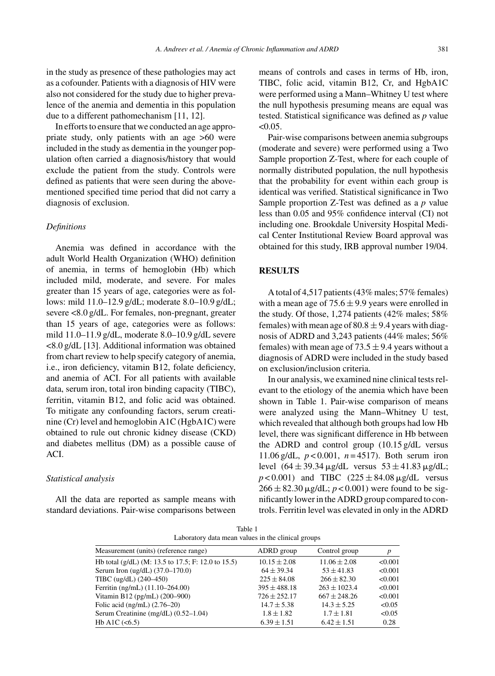in the study as presence of these pathologies may act as a cofounder. Patients with a diagnosis of HIV were also not considered for the study due to higher prevalence of the anemia and dementia in this population due to a different pathomechanism [11, 12].

In efforts to ensure that we conducted an age appropriate study, only patients with an age >60 were included in the study as dementia in the younger population often carried a diagnosis/history that would exclude the patient from the study. Controls were defined as patients that were seen during the abovementioned specified time period that did not carry a diagnosis of exclusion.

#### *Definitions*

Anemia was defined in accordance with the adult World Health Organization (WHO) definition of anemia, in terms of hemoglobin (Hb) which included mild, moderate, and severe. For males greater than 15 years of age, categories were as follows: mild 11.0–12.9 g/dL; moderate 8.0–10.9 g/dL; severe <8.0 g/dL. For females, non-pregnant, greater than 15 years of age, categories were as follows: mild 11.0–11.9 g/dL, moderate 8.0–10.9 g/dL severe <8.0 g/dL [13]. Additional information was obtained from chart review to help specify category of anemia, i.e., iron deficiency, vitamin B12, folate deficiency, and anemia of ACI. For all patients with available data, serum iron, total iron binding capacity (TIBC), ferritin, vitamin B12, and folic acid was obtained. To mitigate any confounding factors, serum creatinine (Cr) level and hemoglobin A1C (HgbA1C) were obtained to rule out chronic kidney disease (CKD) and diabetes mellitus (DM) as a possible cause of ACI.

#### *Statistical analysis*

All the data are reported as sample means with standard deviations. Pair-wise comparisons between means of controls and cases in terms of Hb, iron, TIBC, folic acid, vitamin B12, Cr, and HgbA1C were performed using a Mann–Whitney U test where the null hypothesis presuming means are equal was tested. Statistical significance was defined as *p* value  $< 0.05$ .

Pair-wise comparisons between anemia subgroups (moderate and severe) were performed using a Two Sample proportion Z-Test, where for each couple of normally distributed population, the null hypothesis that the probability for event within each group is identical was verified. Statistical significance in Two Sample proportion Z-Test was defined as a *p* value less than 0.05 and 95% confidence interval (CI) not including one. Brookdale University Hospital Medical Center Institutional Review Board approval was obtained for this study, IRB approval number 19/04.

## **RESULTS**

A total of 4,517 patients (43% males; 57% females) with a mean age of  $75.6 \pm 9.9$  years were enrolled in the study. Of those, 1,274 patients (42% males; 58% females) with mean age of  $80.8 \pm 9.4$  years with diagnosis of ADRD and 3,243 patients (44% males; 56% females) with mean age of  $73.5 \pm 9.4$  years without a diagnosis of ADRD were included in the study based on exclusion/inclusion criteria.

In our analysis, we examined nine clinical tests relevant to the etiology of the anemia which have been shown in Table 1. Pair-wise comparison of means were analyzed using the Mann–Whitney U test, which revealed that although both groups had low Hb level, there was significant difference in Hb between the ADRD and control group (10.15 g/dL versus 11.06 g/dL, *p* < 0.001, *n* = 4517). Both serum iron level  $(64 \pm 39.34 \,\mu\text{g/dL}$  versus  $53 \pm 41.83 \,\mu\text{g/dL}$ ;  $p < 0.001$ ) and TIBC (225 ± 84.08 µg/dL versus  $266 \pm 82.30 \,\mu g/dL$ ;  $p < 0.001$ ) were found to be significantly lower in the ADRD group compared to controls. Ferritin level was elevated in only in the ADRD

| Table I<br>Laboratory data mean values in the clinical groups |                  |                  |         |
|---------------------------------------------------------------|------------------|------------------|---------|
| Measurement (units) (reference range)                         | ADRD group       | Control group    |         |
| Hb total (g/dL) (M: 13.5 to 17.5; F: 12.0 to 15.5)            | $10.15 \pm 2.08$ | $11.06 \pm 2.08$ | < 0.001 |
| Serum Iron (ug/dL) (37.0–170.0)                               | $64 \pm 39.34$   | $53 + 41.83$     | < 0.001 |
| TIBC (ug/dL) $(240-450)$                                      | $225 \pm 84.08$  | $266 \pm 82.30$  | < 0.001 |
| Ferritin (ng/mL) (11.10–264.00)                               | $395 \pm 488.18$ | $263 + 1023.4$   | < 0.001 |
| Vitamin B12 (pg/mL) $(200-900)$                               | $726 + 252.17$   | $667 + 248.26$   | < 0.001 |
| Folic acid $(ng/mL)$ (2.76–20)                                | $14.7 \pm 5.38$  | $14.3 \pm 5.25$  | < 0.05  |
| Serum Creatinine (mg/dL) $(0.52-1.04)$                        | $1.8 \pm 1.82$   | $1.7 \pm 1.81$   | < 0.05  |
| Hb A1C $(<6.5)$                                               | $6.39 \pm 1.51$  | $6.42 \pm 1.51$  | 0.28    |

Table 1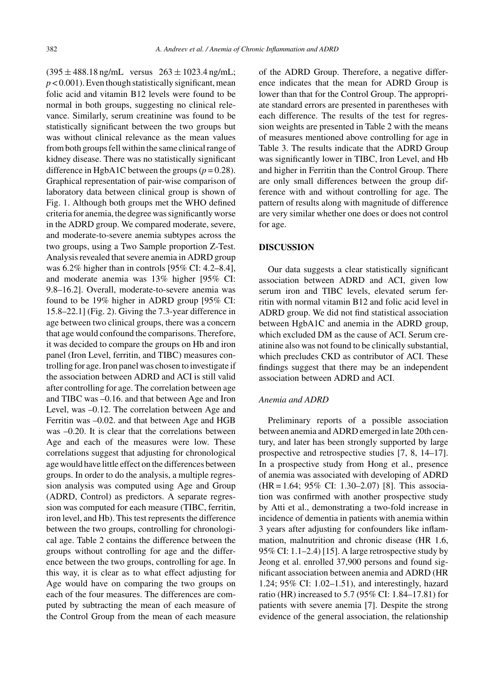$(395 \pm 488.18 \text{ ng/mL}$  versus  $263 \pm 1023.4 \text{ ng/mL}$ ;  $p < 0.001$ ). Even though statistically significant, mean folic acid and vitamin B12 levels were found to be normal in both groups, suggesting no clinical relevance. Similarly, serum creatinine was found to be statistically significant between the two groups but was without clinical relevance as the mean values from both groups fell within the same clinical range of kidney disease. There was no statistically significant difference in HgbA1C between the groups  $(p = 0.28)$ . Graphical representation of pair-wise comparison of laboratory data between clinical group is shown of Fig. 1. Although both groups met the WHO defined criteria for anemia, the degree was significantly worse in the ADRD group. We compared moderate, severe, and moderate-to-severe anemia subtypes across the two groups, using a Two Sample proportion Z-Test. Analysis revealed that severe anemia in ADRD group was 6.2% higher than in controls [95% CI: 4.2–8.4], and moderate anemia was 13% higher [95% CI: 9.8–16.2]. Overall, moderate-to-severe anemia was found to be 19% higher in ADRD group [95% CI: 15.8–22.1] (Fig. 2). Giving the 7.3-year difference in age between two clinical groups, there was a concern that age would confound the comparisons. Therefore, it was decided to compare the groups on Hb and iron panel (Iron Level, ferritin, and TIBC) measures controlling for age. Iron panel was chosen to investigate if the association between ADRD and ACI is still valid after controlling for age. The correlation between age and TIBC was –0.16. and that between Age and Iron Level, was –0.12. The correlation between Age and Ferritin was –0.02. and that between Age and HGB was –0.20. It is clear that the correlations between Age and each of the measures were low. These correlations suggest that adjusting for chronological age would have little effect on the differences between groups. In order to do the analysis, a multiple regression analysis was computed using Age and Group (ADRD, Control) as predictors. A separate regression was computed for each measure (TIBC, ferritin, iron level, and Hb). This test represents the difference between the two groups, controlling for chronological age. Table 2 contains the difference between the groups without controlling for age and the difference between the two groups, controlling for age. In this way, it is clear as to what effect adjusting for Age would have on comparing the two groups on each of the four measures. The differences are computed by subtracting the mean of each measure of the Control Group from the mean of each measure

of the ADRD Group. Therefore, a negative difference indicates that the mean for ADRD Group is lower than that for the Control Group. The appropriate standard errors are presented in parentheses with each difference. The results of the test for regression weights are presented in Table 2 with the means of measures mentioned above controlling for age in Table 3. The results indicate that the ADRD Group was significantly lower in TIBC, Iron Level, and Hb and higher in Ferritin than the Control Group. There are only small differences between the group difference with and without controlling for age. The pattern of results along with magnitude of difference are very similar whether one does or does not control for age.

#### **DISCUSSION**

Our data suggests a clear statistically significant association between ADRD and ACI, given low serum iron and TIBC levels, elevated serum ferritin with normal vitamin B12 and folic acid level in ADRD group. We did not find statistical association between HgbA1C and anemia in the ADRD group, which excluded DM as the cause of ACI. Serum creatinine also was not found to be clinically substantial, which precludes CKD as contributor of ACI. These findings suggest that there may be an independent association between ADRD and ACI.

### *Anemia and ADRD*

Preliminary reports of a possible association between anemia and ADRD emerged in late 20th century, and later has been strongly supported by large prospective and retrospective studies [7, 8, 14–17]. In a prospective study from Hong et al., presence of anemia was associated with developing of ADRD (HR = 1.64; 95% CI: 1.30–2.07) [8]. This association was confirmed with another prospective study by Atti et al., demonstrating a two-fold increase in incidence of dementia in patients with anemia within 3 years after adjusting for confounders like inflammation, malnutrition and chronic disease (HR 1.6, 95% CI: 1.1–2.4) [15]. A large retrospective study by Jeong et al. enrolled 37,900 persons and found significant association between anemia and ADRD (HR 1.24; 95% CI: 1.02–1.51), and interestingly, hazard ratio (HR) increased to 5.7 (95% CI: 1.84–17.81) for patients with severe anemia [7]. Despite the strong evidence of the general association, the relationship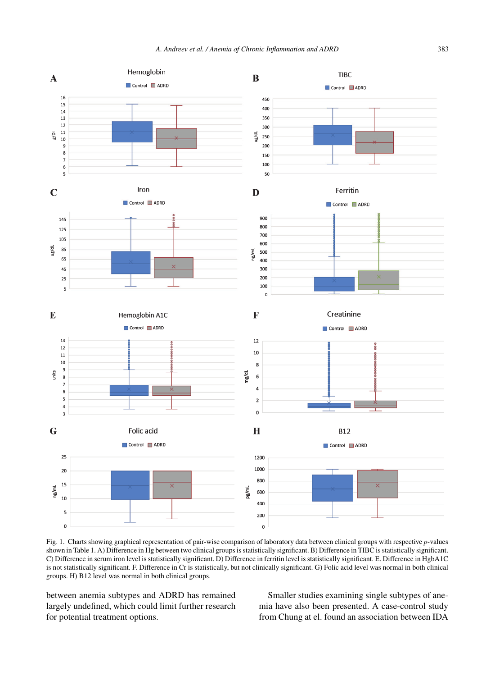

Fig. 1. Charts showing graphical representation of pair-wise comparison of laboratory data between clinical groups with respective *p*-values shown in Table 1. A) Difference in Hg between two clinical groups is statistically significant. B) Difference in TIBC is statistically significant. C) Difference in serum iron level is statistically significant. D) Difference in ferritin level is statistically significant. E. Difference in HgbA1C is not statistically significant. F. Difference in Cr is statistically, but not clinically significant. G) Folic acid level was normal in both clinical groups. H) B12 level was normal in both clinical groups.

between anemia subtypes and ADRD has remained largely undefined, which could limit further research for potential treatment options.

Smaller studies examining single subtypes of anemia have also been presented. A case-control study from Chung at el. found an association between IDA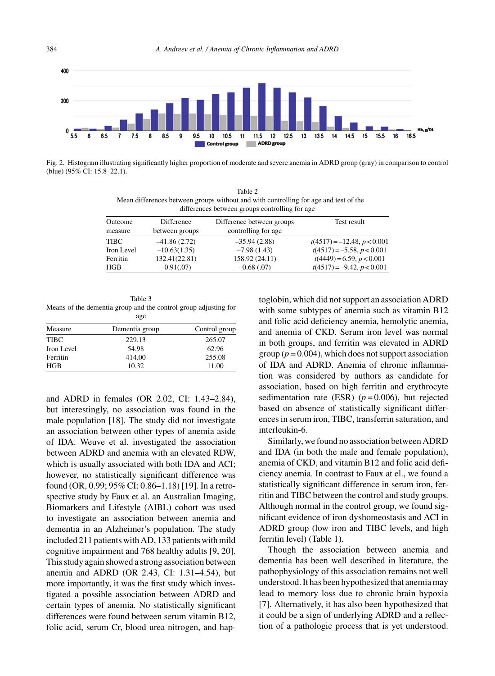

Fig. 2. Histogram illustrating significantly higher proportion of moderate and severe anemia in ADRD group (gray) in comparison to control (blue) (95% CI: 15.8–22.1).

| Table 2                                                                              |
|--------------------------------------------------------------------------------------|
| Mean differences between groups without and with controlling for age and test of the |
| differences between groups controlling for age                                       |

| Outcome<br>measure | Difference<br>between groups | Difference between groups<br>controlling for age | Test result                   |
|--------------------|------------------------------|--------------------------------------------------|-------------------------------|
| <b>TIBC</b>        | $-41.86(2.72)$               | $-35.94(2.88)$                                   | $t(4517) = -12.48, p < 0.001$ |
| Iron Level         | $-10.63(1.35)$               | $-7.98(1.43)$                                    | $t(4517) = -5.58, p < 0.001$  |
| Ferritin           | 132.41(22.81)                | 158.92 (24.11)                                   | $t(4449) = 6.59, p < 0.001$   |
| HGB                | $-0.91(.07)$                 | $-0.68$ (.07)                                    | $t(4517) = -9.42, p < 0.001$  |

Table 3 Means of the dementia group and the control group adjusting for age

| Measure     | Dementia group | Control group |  |
|-------------|----------------|---------------|--|
| <b>TIBC</b> | 229.13         | 265.07        |  |
| Iron Level  | 54.98          | 62.96         |  |
| Ferritin    | 414.00         | 255.08        |  |
| HGB         | 10.32          | 11.00         |  |

and ADRD in females (OR 2.02, CI: 1.43–2.84), but interestingly, no association was found in the male population [18]. The study did not investigate an association between other types of anemia aside of IDA. Weuve et al. investigated the association between ADRD and anemia with an elevated RDW, which is usually associated with both IDA and ACI; however, no statistically significant difference was found (OR, 0.99; 95% CI: 0.86–1.18) [19]. In a retrospective study by Faux et al. an Australian Imaging, Biomarkers and Lifestyle (AIBL) cohort was used to investigate an association between anemia and dementia in an Alzheimer's population. The study included 211 patients with AD, 133 patients with mild cognitive impairment and 768 healthy adults [9, 20]. This study again showed a strong association between anemia and ADRD (OR 2.43, CI: 1.31–4.54), but more importantly, it was the first study which investigated a possible association between ADRD and certain types of anemia. No statistically significant differences were found between serum vitamin B12, folic acid, serum Cr, blood urea nitrogen, and haptoglobin, which did not support an association ADRD with some subtypes of anemia such as vitamin B12 and folic acid deficiency anemia, hemolytic anemia, and anemia of CKD. Serum iron level was normal in both groups, and ferritin was elevated in ADRD group ( $p = 0.004$ ), which does not support association of IDA and ADRD. Anemia of chronic inflammation was considered by authors as candidate for association, based on high ferritin and erythrocyte sedimentation rate (ESR)  $(p=0.006)$ , but rejected based on absence of statistically significant differences in serum iron, TIBC, transferrin saturation, and interleukin-6.

Similarly, we found no association between ADRD and IDA (in both the male and female population), anemia of CKD, and vitamin B12 and folic acid deficiency anemia. In contrast to Faux at el., we found a statistically significant difference in serum iron, ferritin and TIBC between the control and study groups. Although normal in the control group, we found significant evidence of iron dyshomeostasis and ACI in ADRD group (low iron and TIBC levels, and high ferritin level) (Table 1).

Though the association between anemia and dementia has been well described in literature, the pathophysiology of this association remains not well understood. It has been hypothesized that anemia may lead to memory loss due to chronic brain hypoxia [7]. Alternatively, it has also been hypothesized that it could be a sign of underlying ADRD and a reflection of a pathologic process that is yet understood.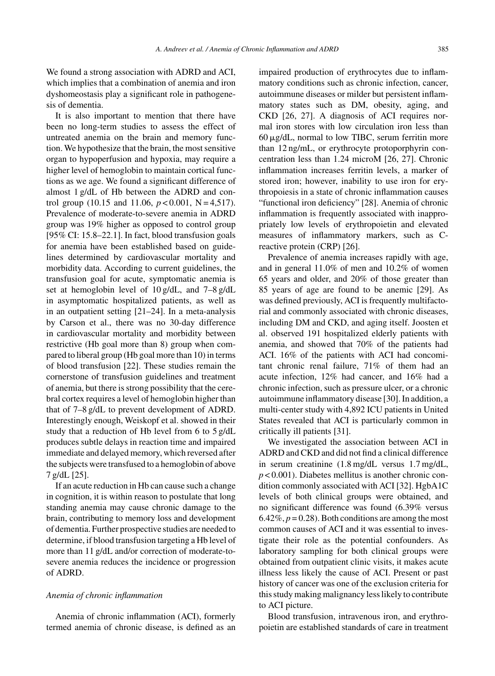We found a strong association with ADRD and ACI, which implies that a combination of anemia and iron dyshomeostasis play a significant role in pathogenesis of dementia.

It is also important to mention that there have been no long-term studies to assess the effect of untreated anemia on the brain and memory function. We hypothesize that the brain, the most sensitive organ to hypoperfusion and hypoxia, may require a higher level of hemoglobin to maintain cortical functions as we age. We found a significant difference of almost 1 g/dL of Hb between the ADRD and control group (10.15 and 11.06,  $p < 0.001$ , N = 4,517). Prevalence of moderate-to-severe anemia in ADRD group was 19% higher as opposed to control group [95% CI: 15.8–22.1]. In fact, blood transfusion goals for anemia have been established based on guidelines determined by cardiovascular mortality and morbidity data. According to current guidelines, the transfusion goal for acute, symptomatic anemia is set at hemoglobin level of 10 g/dL, and 7–8 g/dL in asymptomatic hospitalized patients, as well as in an outpatient setting [21–24]. In a meta-analysis by Carson et al., there was no 30-day difference in cardiovascular mortality and morbidity between restrictive (Hb goal more than 8) group when compared to liberal group (Hb goal more than 10) in terms of blood transfusion [22]. These studies remain the cornerstone of transfusion guidelines and treatment of anemia, but there is strong possibility that the cerebral cortex requires a level of hemoglobin higher than that of 7–8 g/dL to prevent development of ADRD. Interestingly enough, Weiskopf et al. showed in their study that a reduction of Hb level from 6 to 5 g/dL produces subtle delays in reaction time and impaired immediate and delayed memory, which reversed after the subjects were transfused to a hemoglobin of above 7 g/dL [25].

If an acute reduction in Hb can cause such a change in cognition, it is within reason to postulate that long standing anemia may cause chronic damage to the brain, contributing to memory loss and development of dementia. Further prospective studies are needed to determine, if blood transfusion targeting a Hb level of more than 11 g/dL and/or correction of moderate-tosevere anemia reduces the incidence or progression of ADRD.

### *Anemia of chronic inflammation*

Anemia of chronic inflammation (ACI), formerly termed anemia of chronic disease, is defined as an

impaired production of erythrocytes due to inflammatory conditions such as chronic infection, cancer, autoimmune diseases or milder but persistent inflammatory states such as DM, obesity, aging, and CKD [26, 27]. A diagnosis of ACI requires normal iron stores with low circulation iron less than  $60 \mu$ g/dL, normal to low TIBC, serum ferritin more than 12 ng/mL, or erythrocyte protoporphyrin concentration less than 1.24 microM [26, 27]. Chronic inflammation increases ferritin levels, a marker of stored iron; however, inability to use iron for erythropoiesis in a state of chronic inflammation causes "functional iron deficiency" [28]. Anemia of chronic inflammation is frequently associated with inappropriately low levels of erythropoietin and elevated measures of inflammatory markers, such as Creactive protein (CRP) [26].

Prevalence of anemia increases rapidly with age, and in general 11.0% of men and 10.2% of women 65 years and older, and 20% of those greater than 85 years of age are found to be anemic [29]. As was defined previously, ACI is frequently multifactorial and commonly associated with chronic diseases, including DM and CKD, and aging itself. Joosten et al. observed 191 hospitalized elderly patients with anemia, and showed that 70% of the patients had ACI. 16% of the patients with ACI had concomitant chronic renal failure, 71% of them had an acute infection, 12% had cancer, and 16% had a chronic infection, such as pressure ulcer, or a chronic autoimmune inflammatory disease [30]. In addition, a multi-center study with 4,892 ICU patients in United States revealed that ACI is particularly common in critically ill patients [31].

We investigated the association between ACI in ADRD and CKD and did not find a clinical difference in serum creatinine (1.8 mg/dL versus 1.7 mg/dL, *p* < 0.001). Diabetes mellitus is another chronic condition commonly associated with ACI [32]. HgbA1C levels of both clinical groups were obtained, and no significant difference was found (6.39% versus  $6.42\%, p = 0.28$ ). Both conditions are among the most common causes of ACI and it was essential to investigate their role as the potential confounders. As laboratory sampling for both clinical groups were obtained from outpatient clinic visits, it makes acute illness less likely the cause of ACI. Present or past history of cancer was one of the exclusion criteria for this study making malignancy less likely to contribute to ACI picture.

Blood transfusion, intravenous iron, and erythropoietin are established standards of care in treatment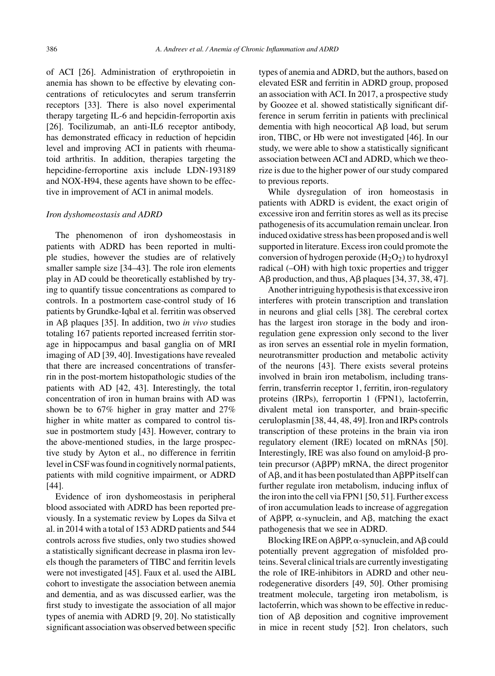of ACI [26]. Administration of erythropoietin in anemia has shown to be effective by elevating concentrations of reticulocytes and serum transferrin receptors [33]. There is also novel experimental therapy targeting IL-6 and hepcidin-ferroportin axis [26]. Tocilizumab, an anti-IL6 receptor antibody, has demonstrated efficacy in reduction of hepcidin level and improving ACI in patients with rheumatoid arthritis. In addition, therapies targeting the hepcidine-ferroportine axis include LDN-193189 and NOX-H94, these agents have shown to be effective in improvement of ACI in animal models.

#### *Iron dyshomeostasis and ADRD*

The phenomenon of iron dyshomeostasis in patients with ADRD has been reported in multiple studies, however the studies are of relatively smaller sample size [34–43]. The role iron elements play in AD could be theoretically established by trying to quantify tissue concentrations as compared to controls. In a postmortem case-control study of 16 patients by Grundke-Iqbal et al. ferritin was observed in Aβ plaques [35]. In addition, two *in vivo* studies totaling 167 patients reported increased ferritin storage in hippocampus and basal ganglia on of MRI imaging of AD [39, 40]. Investigations have revealed that there are increased concentrations of transferrin in the post-mortem histopathologic studies of the patients with AD [42, 43]. Interestingly, the total concentration of iron in human brains with AD was shown be to 67% higher in gray matter and 27% higher in white matter as compared to control tissue in postmortem study [43]. However, contrary to the above-mentioned studies, in the large prospective study by Ayton et al., no difference in ferritin level in CSF was found in cognitively normal patients, patients with mild cognitive impairment, or ADRD [44].

Evidence of iron dyshomeostasis in peripheral blood associated with ADRD has been reported previously. In a systematic review by Lopes da Silva et al. in 2014 with a total of 153 ADRD patients and 544 controls across five studies, only two studies showed a statistically significant decrease in plasma iron levels though the parameters of TIBC and ferritin levels were not investigated [45]. Faux et al. used the AIBL cohort to investigate the association between anemia and dementia, and as was discussed earlier, was the first study to investigate the association of all major types of anemia with ADRD [9, 20]. No statistically significant association was observed between specific

types of anemia and ADRD, but the authors, based on elevated ESR and ferritin in ADRD group, proposed an association with ACI. In 2017, a prospective study by Goozee et al. showed statistically significant difference in serum ferritin in patients with preclinical dementia with high neocortical  $\text{A}\beta$  load, but serum iron, TIBC, or Hb were not investigated [46]. In our study, we were able to show a statistically significant association between ACI and ADRD, which we theorize is due to the higher power of our study compared to previous reports.

While dysregulation of iron homeostasis in patients with ADRD is evident, the exact origin of excessive iron and ferritin stores as well as its precise pathogenesis of its accumulation remain unclear. Iron induced oxidative stress has been proposed and is well supported in literature. Excess iron could promote the conversion of hydrogen peroxide  $(H_2O_2)$  to hydroxyl radical (–OH) with high toxic properties and trigger  $\text{A}\beta$  production, and thus,  $\text{A}\beta$  plaques [34, 37, 38, 47].

Another intriguing hypothesis is that excessive iron interferes with protein transcription and translation in neurons and glial cells [38]. The cerebral cortex has the largest iron storage in the body and ironregulation gene expression only second to the liver as iron serves an essential role in myelin formation, neurotransmitter production and metabolic activity of the neurons [43]. There exists several proteins involved in brain iron metabolism, including transferrin, transferrin receptor 1, ferritin, iron-regulatory proteins (IRPs), ferroportin 1 (FPN1), lactoferrin, divalent metal ion transporter, and brain-specific ceruloplasmin [38, 44, 48, 49]. Iron and IRPs controls transcription of these proteins in the brain via iron regulatory element (IRE) located on mRNAs [50]. Interestingly, IRE was also found on amyloid- $\beta$  protein precursor ( $A\beta PP$ ) mRNA, the direct progenitor of  $A\beta$ , and it has been postulated than  $A\beta PP$  itself can further regulate iron metabolism, inducing influx of the iron into the cell via FPN1 [50, 51]. Further excess of iron accumulation leads to increase of aggregation of A $\beta$ PP,  $\alpha$ -synuclein, and A $\beta$ , matching the exact pathogenesis that we see in ADRD.

Blocking IRE on A $\beta$ PP,  $\alpha$ -synuclein, and A $\beta$  could potentially prevent aggregation of misfolded proteins. Several clinical trials are currently investigating the role of IRE-inhibitors in ADRD and other neurodegenerative disorders [49, 50]. Other promising treatment molecule, targeting iron metabolism, is lactoferrin, which was shown to be effective in reduction of  $A\beta$  deposition and cognitive improvement in mice in recent study [52]. Iron chelators, such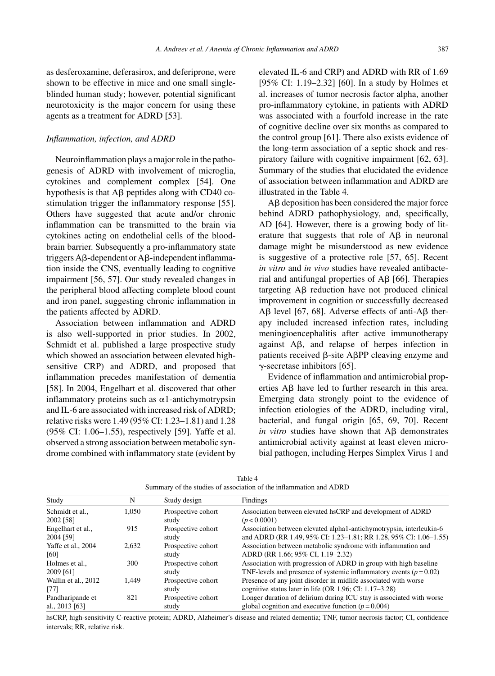as desferoxamine, deferasirox, and deferiprone, were shown to be effective in mice and one small singleblinded human study; however, potential significant neurotoxicity is the major concern for using these agents as a treatment for ADRD [53].

#### *Inflammation, infection, and ADRD*

Neuroinflammation plays a major role in the pathogenesis of ADRD with involvement of microglia, cytokines and complement complex [54]. One hypothesis is that  $\text{A}\beta$  peptides along with CD40 costimulation trigger the inflammatory response [55]. Others have suggested that acute and/or chronic inflammation can be transmitted to the brain via cytokines acting on endothelial cells of the bloodbrain barrier. Subsequently a pro-inflammatory state triggers  $\mathsf{A}\mathsf{\beta}$ -dependent or  $\mathsf{A}\mathsf{\beta}$ -independent inflammation inside the CNS, eventually leading to cognitive impairment [56, 57]. Our study revealed changes in the peripheral blood affecting complete blood count and iron panel, suggesting chronic inflammation in the patients affected by ADRD.

Association between inflammation and ADRD is also well-supported in prior studies. In 2002, Schmidt et al. published a large prospective study which showed an association between elevated highsensitive CRP) and ADRD, and proposed that inflammation precedes manifestation of dementia [58]. In 2004, Engelhart et al. discovered that other inflammatory proteins such as  $\alpha$ 1-antichymotrypsin and IL-6 are associated with increased risk of ADRD; relative risks were 1.49 (95% CI: 1.23–1.81) and 1.28 (95% CI: 1.06–1.55), respectively [59]. Yaffe et al. observed a strong association between metabolic syndrome combined with inflammatory state (evident by

elevated IL-6 and CRP) and ADRD with RR of 1.69 [95% CI: 1.19–2.32] [60]. In a study by Holmes et al. increases of tumor necrosis factor alpha, another pro-inflammatory cytokine, in patients with ADRD was associated with a fourfold increase in the rate of cognitive decline over six months as compared to the control group [61]. There also exists evidence of the long-term association of a septic shock and respiratory failure with cognitive impairment [62, 63]. Summary of the studies that elucidated the evidence of association between inflammation and ADRD are illustrated in the Table 4.

 $A\beta$  deposition has been considered the major force behind ADRD pathophysiology, and, specifically, AD [64]. However, there is a growing body of literature that suggests that role of  $\overrightarrow{AB}$  in neuronal damage might be misunderstood as new evidence is suggestive of a protective role [57, 65]. Recent *in vitro* and *in vivo* studies have revealed antibacterial and antifungal properties of  $A\beta$  [66]. Therapies  $targeting$  A $\beta$  reduction have not produced clinical improvement in cognition or successfully decreased  $\text{A}\beta$  level [67, 68]. Adverse effects of anti- $\text{A}\beta$  therapy included increased infection rates, including meningioencephalitis after active immunotherapy against  $\mathbf{A}\mathbf{\beta}$ , and relapse of herpes infection in patients received  $\beta$ -site A $\beta$ PP cleaving enzyme and  $\gamma$ -secretase inhibitors [65].

Evidence of inflammation and antimicrobial properties  $\text{A}\beta$  have led to further research in this area. Emerging data strongly point to the evidence of infection etiologies of the ADRD, including viral, bacterial, and fungal origin [65, 69, 70]. Recent  $in$  *vitro* studies have shown that  $\overrightarrow{AB}$  demonstrates antimicrobial activity against at least eleven microbial pathogen, including Herpes Simplex Virus 1 and

| Study               | N     | Study design       | Findings                                                               |
|---------------------|-------|--------------------|------------------------------------------------------------------------|
| Schmidt et al.,     | 1.050 | Prospective cohort | Association between elevated hsCRP and development of ADRD             |
| 2002 [58]           |       | study              | (p < 0.0001)                                                           |
| Engelhart et al.,   | 915   | Prospective cohort | Association between elevated alpha1-antichymotrypsin, interleukin-6    |
| 2004 [59]           |       | study              | and ADRD (RR 1.49, 95% CI: 1.23-1.81; RR 1.28, 95% CI: 1.06-1.55)      |
| Yaffe et al., 2004  | 2.632 | Prospective cohort | Association between metabolic syndrome with inflammation and           |
| [60]                |       | study              | ADRD (RR 1.66; 95% CI, 1.19–2.32)                                      |
| Holmes et al        | 300   | Prospective cohort | Association with progression of ADRD in group with high baseline       |
| 2009 [61]           |       | study              | TNF-levels and presence of systemic inflammatory events ( $p = 0.02$ ) |
| Wallin et al., 2012 | 1.449 | Prospective cohort | Presence of any joint disorder in midlife associated with worse        |
| [77]                |       | study              | cognitive status later in life (OR $1.96$ ; CI: $1.17-3.28$ )          |
| Pandharipande et    | 821   | Prospective cohort | Longer duration of delirium during ICU stay is associated with worse   |
| al., 2013 [63]      |       | study              | global cognition and executive function $(p = 0.004)$                  |

Table 4 Summary of the studies of association of the inflammation and ADRD

hsCRP, high-sensitivity C-reactive protein; ADRD, Alzheimer's disease and related dementia; TNF, tumor necrosis factor; CI, confidence intervals; RR, relative risk.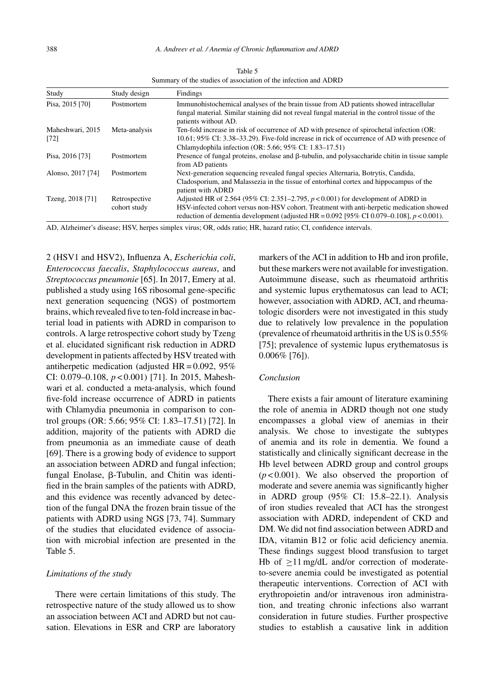| Study                         | Study design  | Findings                                                                                                                                                                                   |
|-------------------------------|---------------|--------------------------------------------------------------------------------------------------------------------------------------------------------------------------------------------|
| Pisa, 2015 [70]<br>Postmortem |               | Immunohistochemical analyses of the brain tissue from AD patients showed intracellular                                                                                                     |
|                               |               | fungal material. Similar staining did not reveal fungal material in the control tissue of the<br>patients without AD.                                                                      |
| Maheshwari, 2015              | Meta-analysis | Ten-fold increase in risk of occurrence of AD with presence of spirochetal infection (OR:                                                                                                  |
| $[72]$                        |               | 10.61; 95% CI: 3.38–33.29). Five-fold increase in rick of occurrence of AD with presence of                                                                                                |
|                               |               | Chlamydophila infection (OR: 5.66; 95% CI: 1.83–17.51)                                                                                                                                     |
| Pisa, 2016 [73]               | Postmortem    | Presence of fungal proteins, enolase and B-tubulin, and polysaccharide chitin in tissue sample<br>from AD patients                                                                         |
| Alonso, 2017 [74]             | Postmortem    | Next-generation sequencing revealed fungal species Alternaria, Botrytis, Candida,                                                                                                          |
|                               |               | Cladosporium, and Malassezia in the tissue of entorhinal cortex and hippocampus of the<br>patient with ADRD                                                                                |
| Tzeng, 2018 [71]              | Retrospective | Adjusted HR of 2.564 (95% CI: 2.351–2.795, $p < 0.001$ ) for development of ADRD in                                                                                                        |
|                               | cohort study  | HSV-infected cohort versus non-HSV cohort. Treatment with anti-herpetic medication showed<br>reduction of dementia development (adjusted HR = $0.092$ [95% CI 0.079–0.108], $p < 0.001$ ). |

Table 5 Summary of the studies of association of the infection and ADRD

AD, Alzheimer's disease; HSV, herpes simplex virus; OR, odds ratio; HR, hazard ratio; CI, confidence intervals.

2 (HSV1 and HSV2), Influenza A, *Escherichia coli*, *Enterococcus faecalis*, *Staphylococcus aureus*, and *Streptococcus pneumonie* [65]. In 2017, Emery at al. published a study using 16S ribosomal gene-specific next generation sequencing (NGS) of postmortem brains, which revealed five to ten-fold increase in bacterial load in patients with ADRD in comparison to controls. A large retrospective cohort study by Tzeng et al. elucidated significant risk reduction in ADRD development in patients affected by HSV treated with antiherpetic medication (adjusted  $HR = 0.092$ , 95% CI: 0.079–0.108, *p* < 0.001) [71]. In 2015, Maheshwari et al. conducted a meta-analysis, which found five-fold increase occurrence of ADRD in patients with Chlamydia pneumonia in comparison to control groups (OR: 5.66; 95% CI: 1.83–17.51) [72]. In addition, majority of the patients with ADRD die from pneumonia as an immediate cause of death [69]. There is a growing body of evidence to support an association between ADRD and fungal infection; fungal Enolase, β-Tubulin, and Chitin was identified in the brain samples of the patients with ADRD, and this evidence was recently advanced by detection of the fungal DNA the frozen brain tissue of the patients with ADRD using NGS [73, 74]. Summary of the studies that elucidated evidence of association with microbial infection are presented in the Table 5.

#### *Limitations of the study*

There were certain limitations of this study. The retrospective nature of the study allowed us to show an association between ACI and ADRD but not causation. Elevations in ESR and CRP are laboratory markers of the ACI in addition to Hb and iron profile, but these markers were not available for investigation. Autoimmune disease, such as rheumatoid arthritis and systemic lupus erythematosus can lead to ACI; however, association with ADRD, ACI, and rheumatologic disorders were not investigated in this study due to relatively low prevalence in the population (prevalence of rheumatoid arthritis in the US is 0.55% [75]; prevalence of systemic lupus erythematosus is 0.006% [76]).

#### *Conclusion*

There exists a fair amount of literature examining the role of anemia in ADRD though not one study encompasses a global view of anemias in their analysis. We chose to investigate the subtypes of anemia and its role in dementia. We found a statistically and clinically significant decrease in the Hb level between ADRD group and control groups  $(p<0.001)$ . We also observed the proportion of moderate and severe anemia was significantly higher in ADRD group (95% CI: 15.8–22.1). Analysis of iron studies revealed that ACI has the strongest association with ADRD, independent of CKD and DM. We did not find association between ADRD and IDA, vitamin B12 or folic acid deficiency anemia. These findings suggest blood transfusion to target Hb of ≥11 mg/dL and/or correction of moderateto-severe anemia could be investigated as potential therapeutic interventions. Correction of ACI with erythropoietin and/or intravenous iron administration, and treating chronic infections also warrant consideration in future studies. Further prospective studies to establish a causative link in addition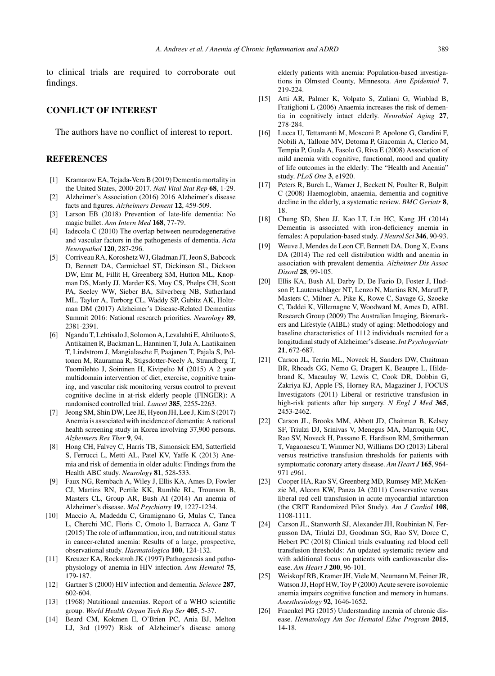to clinical trials are required to corroborate out findings.

### **CONFLICT OF INTEREST**

The authors have no conflict of interest to report.

#### **REFERENCES**

- [1] Kramarow EA, Tejada-Vera B (2019) Dementia mortality in the United States, 2000-2017. *Natl Vital Stat Rep* **68**, 1-29.
- [2] Alzheimer's Association (2016) 2016 Alzheimer's disease facts and figures. *Alzheimers Dement* **12**, 459-509.
- [3] Larson EB (2018) Prevention of late-life dementia: No magic bullet. *Ann Intern Med* **168**, 77-79.
- [4] Iadecola C (2010) The overlap between neurodegenerative and vascular factors in the pathogenesis of dementia. *Acta Neuropathol* **120**, 287-296.
- [5] Corriveau RA, Koroshetz WJ, Gladman JT, Jeon S, Babcock D, Bennett DA, Carmichael ST, Dickinson SL, Dickson DW, Emr M, Fillit H, Greenberg SM, Hutton ML, Knopman DS, Manly JJ, Marder KS, Moy CS, Phelps CH, Scott PA, Seeley WW, Sieber BA, Silverberg NB, Sutherland ML, Taylor A, Torborg CL, Waddy SP, Gubitz AK, Holtzman DM (2017) Alzheimer's Disease-Related Dementias Summit 2016: National research priorities. *Neurology* **89**, 2381-2391.
- [6] Ngandu T, Lehtisalo J, Solomon A, Levalahti E, Ahtiluoto S, Antikainen R, Backman L, Hanninen T, Jula A, Laatikainen T, Lindstrom J, Mangialasche F, Paajanen T, Pajala S, Peltonen M, Rauramaa R, Stigsdotter-Neely A, Strandberg T, Tuomilehto J, Soininen H, Kivipelto M (2015) A 2 year multidomain intervention of diet, exercise, cognitive training, and vascular risk monitoring versus control to prevent cognitive decline in at-risk elderly people (FINGER): A randomised controlled trial. *Lancet* **385**, 2255-2263.
- [7] Jeong SM, Shin DW, Lee JE, Hyeon JH, Lee J, Kim S (2017) Anemia is associated with incidence of dementia: A national health screening study in Korea involving 37,900 persons. *Alzheimers Res Ther* **9**, 94.
- [8] Hong CH, Falvey C, Harris TB, Simonsick EM, Satterfield S, Ferrucci L, Metti AL, Patel KV, Yaffe K (2013) Anemia and risk of dementia in older adults: Findings from the Health ABC study. *Neurology* **81**, 528-533.
- [9] Faux NG, Rembach A, Wiley J, Ellis KA, Ames D, Fowler CJ, Martins RN, Pertile KK, Rumble RL, Trounson B, Masters CL, Group AR, Bush AI (2014) An anemia of Alzheimer's disease. *Mol Psychiatry* **19**, 1227-1234.
- [10] Maccio A, Madeddu C, Gramignano G, Mulas C, Tanca L, Cherchi MC, Floris C, Omoto I, Barracca A, Ganz T (2015) The role of inflammation, iron, and nutritional status in cancer-related anemia: Results of a large, prospective, observational study. *Haematologica* **100**, 124-132.
- [11] Kreuzer KA, Rockstroh JK (1997) Pathogenesis and pathophysiology of anemia in HIV infection. *Ann Hematol* **75**, 179-187.
- [12] Gartner S (2000) HIV infection and dementia. *Science* **287**, 602-604.
- [13] (1968) Nutritional anaemias. Report of a WHO scientific group. *World Health Organ Tech Rep Ser* **405**, 5-37.
- [14] Beard CM, Kokmen E, O'Brien PC, Ania BJ, Melton LJ, 3rd (1997) Risk of Alzheimer's disease among

elderly patients with anemia: Population-based investigations in Olmsted County, Minnesota. *Ann Epidemiol* **7**, 219-224.

- [15] Atti AR, Palmer K, Volpato S, Zuliani G, Winblad B, Fratiglioni L (2006) Anaemia increases the risk of dementia in cognitively intact elderly. *Neurobiol Aging* **27**, 278-284.
- [16] Lucca U, Tettamanti M, Mosconi P, Apolone G, Gandini F, Nobili A, Tallone MV, Detoma P, Giacomin A, Clerico M, Tempia P, Guala A, Fasolo G, Riva E (2008) Association of mild anemia with cognitive, functional, mood and quality of life outcomes in the elderly: The "Health and Anemia" study. *PLoS One* **3**, e1920.
- [17] Peters R, Burch L, Warner J, Beckett N, Poulter R, Bulpitt C (2008) Haemoglobin, anaemia, dementia and cognitive decline in the elderly, a systematic review. *BMC Geriatr* **8**, 18.
- [18] Chung SD, Sheu JJ, Kao LT, Lin HC, Kang JH (2014) Dementia is associated with iron-deficiency anemia in females: A population-based study. *J Neurol Sci* **346**, 90-93.
- [19] Weuve J, Mendes de Leon CF, Bennett DA, Dong X, Evans DA (2014) The red cell distribution width and anemia in association with prevalent dementia. *Alzheimer Dis Assoc Disord* **28**, 99-105.
- [20] Ellis KA, Bush AI, Darby D, De Fazio D, Foster J, Hudson P, Lautenschlager NT, Lenzo N, Martins RN, Maruff P, Masters C, Milner A, Pike K, Rowe C, Savage G, Szoeke C, Taddei K, Villemagne V, Woodward M, Ames D, AIBL Research Group (2009) The Australian Imaging, Biomarkers and Lifestyle (AIBL) study of aging: Methodology and baseline characteristics of 1112 individuals recruited for a longitudinal study of Alzheimer's disease.*Int Psychogeriatr* **21**, 672-687.
- [21] Carson JL, Terrin ML, Noveck H, Sanders DW, Chaitman BR, Rhoads GG, Nemo G, Dragert K, Beaupre L, Hildebrand K, Macaulay W, Lewis C, Cook DR, Dobbin G, Zakriya KJ, Apple FS, Horney RA, Magaziner J, FOCUS Investigators (2011) Liberal or restrictive transfusion in high-risk patients after hip surgery. *N Engl J Med* **365**, 2453-2462.
- [22] Carson JL, Brooks MM, Abbott JD, Chaitman B, Kelsey SF, Triulzi DJ, Srinivas V, Menegus MA, Marroquin OC, Rao SV, Noveck H, Passano E, Hardison RM, Smitherman T, Vagaonescu T, Wimmer NJ, Williams DO (2013) Liberal versus restrictive transfusion thresholds for patients with symptomatic coronary artery disease. *Am Heart J* **165**, 964- 971 e961.
- [23] Cooper HA, Rao SV, Greenberg MD, Rumsey MP, McKenzie M, Alcorn KW, Panza JA (2011) Conservative versus liberal red cell transfusion in acute myocardial infarction (the CRIT Randomized Pilot Study). *Am J Cardiol* **108**, 1108-1111.
- [24] Carson JL, Stanworth SJ, Alexander JH, Roubinian N, Fergusson DA, Triulzi DJ, Goodman SG, Rao SV, Doree C, Hebert PC (2018) Clinical trials evaluating red blood cell transfusion thresholds: An updated systematic review and with additional focus on patients with cardiovascular disease. *Am Heart J* **200**, 96-101.
- [25] Weiskopf RB, Kramer JH, Viele M, Neumann M, Feiner JR, Watson JJ, Hopf HW, Toy P (2000) Acute severe isovolemic anemia impairs cognitive function and memory in humans. *Anesthesiology* **92**, 1646-1652.
- [26] Fraenkel PG (2015) Understanding anemia of chronic disease. *Hematology Am Soc Hematol Educ Program* **2015**, 14-18.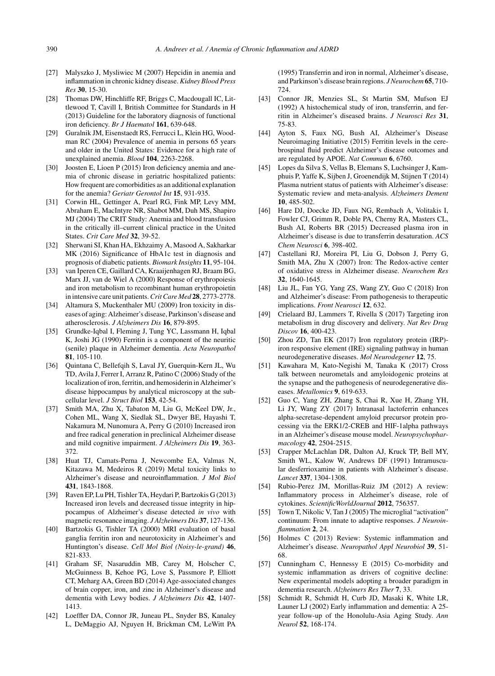- [27] Malyszko J, Mysliwiec M (2007) Hepcidin in anemia and inflammation in chronic kidney disease. *Kidney Blood Press Res* **30**, 15-30.
- [28] Thomas DW, Hinchliffe RF, Briggs C, Macdougall IC, Littlewood T, Cavill I, British Committee for Standards in H (2013) Guideline for the laboratory diagnosis of functional iron deficiency. *Br J Haematol* **161**, 639-648.
- [29] Guralnik JM, Eisenstaedt RS, Ferrucci L, Klein HG, Woodman RC (2004) Prevalence of anemia in persons 65 years and older in the United States: Evidence for a high rate of unexplained anemia. *Blood* **104**, 2263-2268.
- [30] Joosten E, Lioen P (2015) Iron deficiency anemia and anemia of chronic disease in geriatric hospitalized patients: How frequent are comorbidities as an additional explanation for the anemia? *Geriatr Gerontol Int* **15**, 931-935.
- [31] Corwin HL, Gettinger A, Pearl RG, Fink MP, Levy MM, Abraham E, MacIntyre NR, Shabot MM, Duh MS, Shapiro MJ (2004) The CRIT Study: Anemia and blood transfusion in the critically ill–current clinical practice in the United States. *Crit Care Med* **32**, 39-52.
- [32] Sherwani SI, Khan HA, Ekhzaimy A, Masood A, Sakharkar MK (2016) Significance of HbA1c test in diagnosis and prognosis of diabetic patients. *Biomark Insights* **11**, 95-104.
- [33] van Iperen CE, Gaillard CA, Kraaijenhagen RJ, Braam BG, Marx JJ, van de Wiel A (2000) Response of erythropoiesis and iron metabolism to recombinant human erythropoietin in intensive care unit patients.*Crit Care Med* **28**, 2773-2778.
- [34] Altamura S, Muckenthaler MU (2009) Iron toxicity in diseases of aging: Alzheimer's disease, Parkinson's disease and atherosclerosis. *J Alzheimers Dis* **16**, 879-895.
- [35] Grundke-Iqbal I, Fleming J, Tung YC, Lassmann H, Iqbal K, Joshi JG (1990) Ferritin is a component of the neuritic (senile) plaque in Alzheimer dementia. *Acta Neuropathol* **81**, 105-110.
- [36] Quintana C, Bellefqih S, Laval JY, Guerquin-Kern JL, Wu TD, Avila J, Ferrer I, Arranz R, Patino C (2006) Study of the localization of iron, ferritin, and hemosiderin in Alzheimer's disease hippocampus by analytical microscopy at the subcellular level. *J Struct Biol* **153**, 42-54.
- [37] Smith MA, Zhu X, Tabaton M, Liu G, McKeel DW, Jr., Cohen ML, Wang X, Siedlak SL, Dwyer BE, Hayashi T, Nakamura M, Nunomura A, Perry G (2010) Increased iron and free radical generation in preclinical Alzheimer disease and mild cognitive impairment. *J Alzheimers Dis* **19**, 363- 372.
- [38] Huat TJ, Camats-Perna J, Newcombe EA, Valmas N, Kitazawa M, Medeiros R (2019) Metal toxicity links to Alzheimer's disease and neuroinflammation. *J Mol Biol* **431**, 1843-1868.
- [39] Raven EP, Lu PH, Tishler TA, Heydari P, Bartzokis G (2013) Increased iron levels and decreased tissue integrity in hippocampus of Alzheimer's disease detected *in vivo* with magnetic resonance imaging. *J Alzheimers Dis* **37**, 127-136.
- [40] Bartzokis G, Tishler TA (2000) MRI evaluation of basal ganglia ferritin iron and neurotoxicity in Alzheimer's and Huntington's disease. *Cell Mol Biol (Noisy-le-grand)* **46**, 821-833.
- [41] Graham SF, Nasaruddin MB, Carey M, Holscher C, McGuinness B, Kehoe PG, Love S, Passmore P, Elliott CT, Meharg AA, Green BD (2014) Age-associated changes of brain copper, iron, and zinc in Alzheimer's disease and dementia with Lewy bodies. *J Alzheimers Dis* **42**, 1407- 1413.
- [42] Loeffler DA, Connor JR, Juneau PL, Snyder BS, Kanaley L, DeMaggio AJ, Nguyen H, Brickman CM, LeWitt PA

(1995) Transferrin and iron in normal, Alzheimer's disease, and Parkinson's disease brain regions. *J Neurochem* **65**, 710- 724.

- [43] Connor JR, Menzies SL, St Martin SM, Mufson EJ (1992) A histochemical study of iron, transferrin, and ferritin in Alzheimer's diseased brains. *J Neurosci Res* **31**, 75-83.
- [44] Ayton S, Faux NG, Bush AI, Alzheimer's Disease Neuroimaging Initiative (2015) Ferritin levels in the cerebrospinal fluid predict Alzheimer's disease outcomes and are regulated by APOE. *Nat Commun* **6**, 6760.
- [45] Lopes da Silva S, Vellas B, Elemans S, Luchsinger J, Kamphuis P, Yaffe K, Sijben J, Groenendijk M, Stijnen T (2014) Plasma nutrient status of patients with Alzheimer's disease: Systematic review and meta-analysis. *Alzheimers Dement* **10**, 485-502.
- [46] Hare DJ, Doecke JD, Faux NG, Rembach A, Volitakis I, Fowler CJ, Grimm R, Doble PA, Cherny RA, Masters CL, Bush AI, Roberts BR (2015) Decreased plasma iron in Alzheimer's disease is due to transferrin desaturation. *ACS Chem Neurosci* **6**, 398-402.
- [47] Castellani RJ, Moreira PI, Liu G, Dobson J, Perry G, Smith MA, Zhu X (2007) Iron: The Redox-active center of oxidative stress in Alzheimer disease. *Neurochem Res* **32**, 1640-1645.
- [48] Liu JL, Fan YG, Yang ZS, Wang ZY, Guo C (2018) Iron and Alzheimer's disease: From pathogenesis to therapeutic implications. *Front Neurosci* **12**, 632.
- [49] Crielaard BJ, Lammers T, Rivella S (2017) Targeting iron metabolism in drug discovery and delivery. *Nat Rev Drug Discov* **16**, 400-423.
- [50] Zhou ZD, Tan EK (2017) Iron regulatory protein (IRP) iron responsive element (IRE) signaling pathway in human neurodegenerative diseases. *Mol Neurodegener* **12**, 75.
- [51] Kawahara M, Kato-Negishi M, Tanaka K (2017) Cross talk between neurometals and amyloidogenic proteins at the synapse and the pathogenesis of neurodegenerative diseases. *Metallomics* **9**, 619-633.
- [52] Guo C, Yang ZH, Zhang S, Chai R, Xue H, Zhang YH, Li JY, Wang ZY (2017) Intranasal lactoferrin enhances alpha-secretase-dependent amyloid precursor protein processing via the ERK1/2-CREB and HIF-1alpha pathways in an Alzheimer's disease mouse model. *Neuropsychopharmacology* **42**, 2504-2515.
- [53] Crapper McLachlan DR, Dalton AJ, Kruck TP, Bell MY, Smith WL, Kalow W, Andrews DF (1991) Intramuscular desferrioxamine in patients with Alzheimer's disease. *Lancet* **337**, 1304-1308.
- [54] Rubio-Perez JM, Morillas-Ruiz JM (2012) A review: Inflammatory process in Alzheimer's disease, role of cytokines. *ScientificWorldJournal* **2012**, 756357.
- [55] Town T, Nikolic V, Tan J (2005) The microglial "activation" continuum: From innate to adaptive responses. *J Neuroinflammation* **2**, 24.
- [56] Holmes C (2013) Review: Systemic inflammation and Alzheimer's disease. *Neuropathol Appl Neurobiol* **39**, 51- 68.
- [57] Cunningham C, Hennessy E (2015) Co-morbidity and systemic inflammation as drivers of cognitive decline: New experimental models adopting a broader paradigm in dementia research. *Alzheimers Res Ther* **7**, 33.
- [58] Schmidt R, Schmidt H, Curb JD, Masaki K, White LR, Launer LJ (2002) Early inflammation and dementia: A 25 year follow-up of the Honolulu-Asia Aging Study. *Ann Neurol* **52**, 168-174.